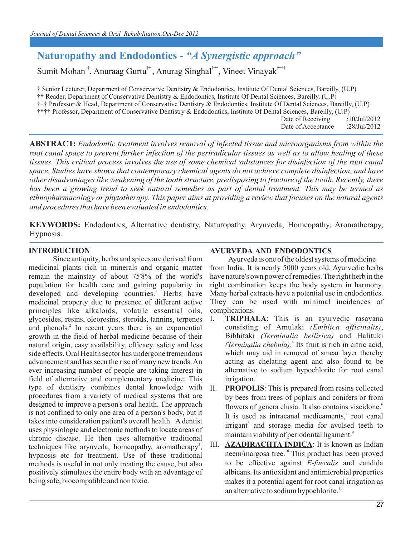# **Naturopathy and Endodontics** *- "A Synergistic approach"*

Sumit Mohan<sup>†</sup>, Anuraag Gurtu<sup>††</sup>, Anurag Singhal<sup>†††</sup>, Vineet Vinayak<sup>††††</sup>

† Senior Lecturer, Department of Conservative Dentistry & Endodontics, Institute Of Dental Sciences, Bareilly, (U.P) (U.P) †† Reader, Department of Conservative Dentistry & Endodontics, Institute Of Dental Sciences, Bareilly, (U.P) ††† Professor & Head, Department of Conservative Dentistry & Endodontics, Institute Of Dental Sciences, Bareilly, (U.P) †††† Professor, Department of Conservative Dentistry & Endodontics, Institute Of Dental Sciences, Bareilly, Date of Receiving :10/Jul/2012

Date of Acceptance :28/Jul/2012

**ABSTRACT:** *Endodontic treatment involves removal of infected tissue and microorganisms from within the root canal space to prevent further infection of the periradicular tissues as well as to allow healing of these tissues. This critical process involves the use of some chemical substances for disinfection of the root canal space. Studies have shown that contemporary chemical agents do not achieve complete disinfection, and have other disadvantages like weakening of the tooth structure, predisposing to fracture of the tooth. Recently, there has been a growing trend to seek natural remedies as part of dental treatment. This may be termed as ethnopharmacology or phytotherapy. This paper aims at providing a review that focuses on the natural agents and procedures that have been evaluated in endodontics.*

**KEYWORDS:** Endodontics, Alternative dentistry, Naturopathy, Aryuveda, Homeopathy, Aromatherapy, Hypnosis.

## **INTRODUCTION**

Since antiquity, herbs and spices are derived from medicinal plants rich in minerals and organic matter . remain the mainstay of about 75 8% of the world's population for health care and gaining popularity in developed and developing countries.<sup>1</sup> Herbs have medicinal property due to presence of different active principles like alkaloids, volatile essential oils, glycosides, resins, oleoresins, steroids, tannins, terpenes and phenols.<sup>2</sup> In recent years there is an exponential growth in the field of herbal medicine because of their natural origin, easy availability, efficacy, safety and less side effects. Oral Health sector has undergone tremendous advancement and has seen the rise of many new trends. An ever increasing number of people are taking interest in field of alternative and complementary medicine. This type of dentistry combines dental knowledge with procedures from a variety of medical systems that are designed to improve a person's oral health. The approach is not confined to only one area of a person's body, but it takes into consideration patient's overall health. A dentist uses physiologic and electronic methods to locate areas of chronic disease. He then uses alternative traditional techniques like aryuveda, homeopathy, aromatherapy<sup>3</sup>, hypnosis etc for treatment. Use of these traditional methods is useful in not only treating the cause, but also positively stimulates the entire body with an advantage of being safe, biocompatible and non toxic.

# **AYURVEDA AND ENDODONTICS**

Ayurveda is one of the oldest systems of medicine from India. It is nearly 5000 years old. Ayurvedic herbs have nature's own power of remedies. The right herb in the right combination keeps the body system in harmony. Many herbal extracts have a potential use in endodontics. They can be used with minimal incidences of complications.

- I. **TRIPHALA**: This is an ayurvedic rasayana consisting of Amulaki *(Emblica officinalis)*, Bibhitaki *(Terminalia bellirica)* and Halituki 4 *(Terminalia chebula)*. Its fruit is rich in citric acid, which may aid in removal of smear layer thereby acting as chelating agent and also found to be alternative to sodium hypochlorite for root canal irrigation.<sup>5</sup>
- II. **PROPOLIS**: This is prepared from resins collected by bees from trees of poplars and conifers or from flowers of genera clusia. It also contains viscidone.<sup>6</sup> It is used as intracanal medicaments,<sup>7</sup> root canal irrigant<sup>8</sup> and storage media for avulsed teeth to maintain viability of periodontal ligament.<sup>9</sup>
- III. **AZADIRACHTA INDICA**: It is known as Indian neem/margosa tree.<sup>10</sup> This product has been proved to be effective against *E-faecalis* and candida albicans. Its antioxidant and antimicrobial properties makes it a potential agent for root canal irrigation as an alternative to sodium hypochlorite. $\mathbf{1}^{\mathsf{1}}$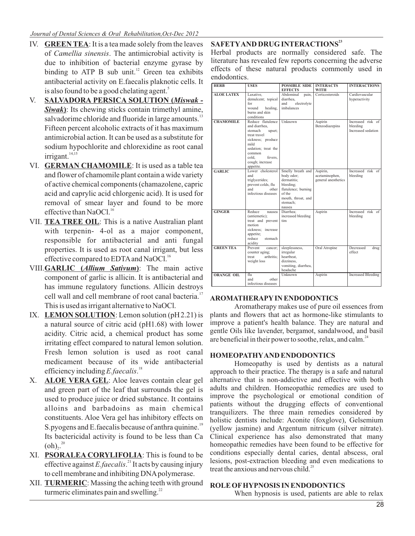- IV. **GREEN TEA**: It is a tea made solely from the leaves of *Camellia sinensis*. The antimicrobial activity is due to inhibition of bacterial enzyme gyrase by binding to ATP B sub unit. $^{12}$  Green tea exhibits antibacterial activity on E.faecalis plaknotic cells. It is also found to be a good chelating agent.<sup>5</sup>
- V. **SALVADORA PERSICA SOLUTION (***Miswak Siwak***)**: Its chewing sticks contain trimethyl amine, salvadorime chloride and fluoride in large amounts.<sup>13</sup> Fifteen percent alcoholic extracts of it has maximum antimicrobial action. It can be used as a substitute for sodium hypochlorite and chlorexidine as root canal irrigant.<sup>14,15</sup>
- VI. **GERMAN CHAMOMILE**: It is used as a table tea and flower of chamomile plant contain a wide variety of active chemical components (chamazolene, capric acid and caprylic acid chlorgenic acid). It is used for removal of smear layer and found to be more effective than NaOCl.<sup>16</sup>
- VII. **TEA TREE OIL**: This is a native Australian plant with terpenin- 4-ol as a major component, responsible for antibacterial and anti fungal properties. It is used as root canal irrigant, but less effective compared to EDTA and NaOCl.<sup>16</sup>
- VIII.**GARLIC (***Allium Sativum***)**: The main active component of garlic is allicin. It is antibacterial and has immune regulatory functions. Allicin destroys cell wall and cell membrane of root canal bacteria.<sup>17</sup> This is used as irrigant alternative to NaOCl.
- IX. **LEMON SOLUTION**: Lemon solution (pH2.21) is a natural source of citric acid (pH1.68) with lower acidity. Citric acid, a chemical product has some irritating effect compared to natural lemon solution. Fresh lemon solution is used as root canal medicament because of its wide antibacterial <sup>18</sup> efficiency including *E.faecalis*.
- X. **ALOE VERA GEL**: Aloe leaves contain clear gel and green part of the leaf that surrounds the gel is used to produce juice or dried substance. It contains alloins and barbadoins as main chemical constituents. Aloe Vera gel has inhibitory effects on S.pyogens and E.faecalis because of anthra quinine.<sup>19</sup> Its bactericidal activity is found to be less than Ca  $(oh)_{2}^{20}$
- XI. **PSORALEA CORYLIFOLIA**: This is found to be effective against *E*.faecalis.<sup>21</sup> It acts by causing injury to cell membrane and inhibiting DNA polymerase.
- XII. **TURMERIC**: Massing the aching teeth with ground turmeric eliminates pain and swelling. $^{22}$

**<sup>23</sup> SAFETY AND DRUG INTERACTIONS**

Herbal products are normally considered safe. The literature has revealed few reports concerning the adverse effects of these natural products commonly used in endodontics.

| <b>HERB</b>       | <b>USES</b>                                                                                                                                                                               | <b>POSSIBLE SIDE</b><br><b>EFFECTS</b>                                                                                                   | <b>INTERACTS</b><br><b>WITH</b>                   | <b>INTERACTIONS</b>                                 |
|-------------------|-------------------------------------------------------------------------------------------------------------------------------------------------------------------------------------------|------------------------------------------------------------------------------------------------------------------------------------------|---------------------------------------------------|-----------------------------------------------------|
| <b>ALOE LATEX</b> | Laxative.<br>demulcent; topical<br>for<br>wound<br>healing,<br>burns and skin<br>conditions                                                                                               | Abdominal<br>pain,<br>diarrhea,<br>and<br>electrolyte<br>imbalances                                                                      | Corticosteroids                                   | Cardiovascular<br>hyperactivity                     |
| <b>CHAMOMILE</b>  | Reduce flatulence<br>and diarrhea,<br>stomach<br>upset;<br>treat travel<br>sickness; produce<br>mild<br>sedation: treat the<br>common<br>fevers.<br>cold.<br>cough; increase<br>appetite. | Unknown                                                                                                                                  | Aspirin<br>Benzodiazepins                         | Increased risk of<br>bleeding<br>Increased sedation |
| <b>GARLIC</b>     | Lower cholesterol<br>and<br>triglycerides;<br>prevent colds, flu<br>and<br>other<br>infectious diseases                                                                                   | Smelly breath and<br>body odor:<br>dermatitis:<br>bleeding;<br>flatulence; burning<br>of the<br>mouth, throat, and<br>stomach;<br>nausea | Aspirin,<br>acetaminophen,<br>general anesthetics | Increased risk of<br>bleeding                       |
| <b>GINGER</b>     | Reduce<br>nausea<br>(antiemetic);<br>treat and prevent<br>motion<br>sickness: increase<br>appetite;<br>reduce<br>stomach<br>acidity                                                       | Diarrhea:<br>increased bleeding<br>tim                                                                                                   | Aspirin                                           | Increased risk of<br>bleeding                       |
| <b>GREEN TEA</b>  | Prevent<br>cancer:<br>counter aging:<br>arthritis:<br>treat<br>weight loss                                                                                                                | sleeplessness,<br>irregular<br>heartbeat.<br>dizziness,<br>vomiting, diarrhea,<br>headache                                               | Oral Atropine                                     | Decreased<br>drug<br>effect                         |
| <b>ORANGE OIL</b> | flu<br>and<br>other<br>infectious diseases                                                                                                                                                | Unknown                                                                                                                                  | Aspirin                                           | <b>Increased Bleeding</b>                           |

## **AROMATHERAPY IN ENDODONTICS**

Aromatherapy makes use of pure oil essences from plants and flowers that act as hormone-like stimulants to improve a patient's health balance. They are natural and gentle Oils like lavender, bergamot, sandalwood, and basil are beneficial in their power to soothe, relax, and calm. $^{24}$ 

# **HOMEOPATHY AND ENDODONTICS**

Homeopathy is used by dentists as a natural approach to their practice. The therapy is a safe and natural alternative that is non-addictive and effective with both adults and children. Homeopathic remedies are used to improve the psychological or emotional condition of patients without the drugging effects of conventional tranquilizers. The three main remedies considered by holistic dentists include: Aconite (foxglove), Gelsemium (yellow jasmine) and Argentum nitricum (silver nitrate). Clinical experience has also demonstrated that many homeopathic remedies have been found to be effective for conditions especially dental caries, dental abscess, oral lesions, post-extraction bleeding and even medications to treat the anxious and nervous child.<sup>25</sup>

## **ROLE OF HYPNOSIS IN ENDODONTICS**

When hypnosis is used, patients are able to relax